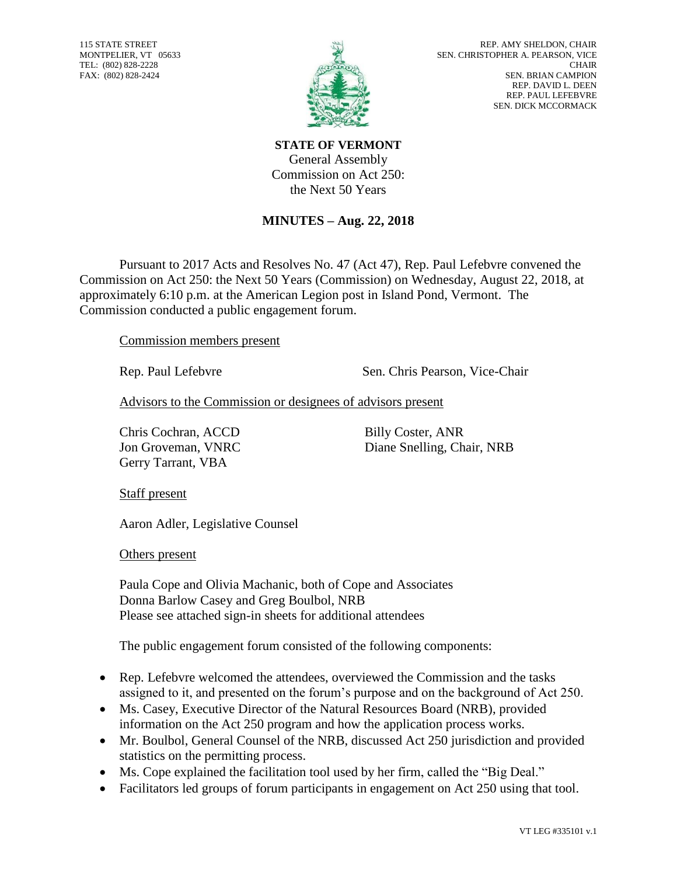115 STATE STREET MONTPELIER, VT 05633 TEL: (802) 828-2228 FAX: (802) 828-2424



**STATE OF VERMONT** General Assembly Commission on Act 250: the Next 50 Years

## **MINUTES – Aug. 22, 2018**

Pursuant to 2017 Acts and Resolves No. 47 (Act 47), Rep. Paul Lefebvre convened the Commission on Act 250: the Next 50 Years (Commission) on Wednesday, August 22, 2018, at approximately 6:10 p.m. at the American Legion post in Island Pond, Vermont. The Commission conducted a public engagement forum.

Commission members present

Rep. Paul Lefebvre Sen. Chris Pearson, Vice-Chair

Advisors to the Commission or designees of advisors present

Chris Cochran, ACCD Billy Coster, ANR Gerry Tarrant, VBA

Jon Groveman, VNRC Diane Snelling, Chair, NRB

Staff present

Aaron Adler, Legislative Counsel

Others present

Paula Cope and Olivia Machanic, both of Cope and Associates Donna Barlow Casey and Greg Boulbol, NRB Please see attached sign-in sheets for additional attendees

The public engagement forum consisted of the following components:

- Rep. Lefebvre welcomed the attendees, overviewed the Commission and the tasks assigned to it, and presented on the forum's purpose and on the background of Act 250.
- Ms. Casey, Executive Director of the Natural Resources Board (NRB), provided information on the Act 250 program and how the application process works.
- Mr. Boulbol, General Counsel of the NRB, discussed Act 250 jurisdiction and provided statistics on the permitting process.
- Ms. Cope explained the facilitation tool used by her firm, called the "Big Deal."
- Facilitators led groups of forum participants in engagement on Act 250 using that tool.